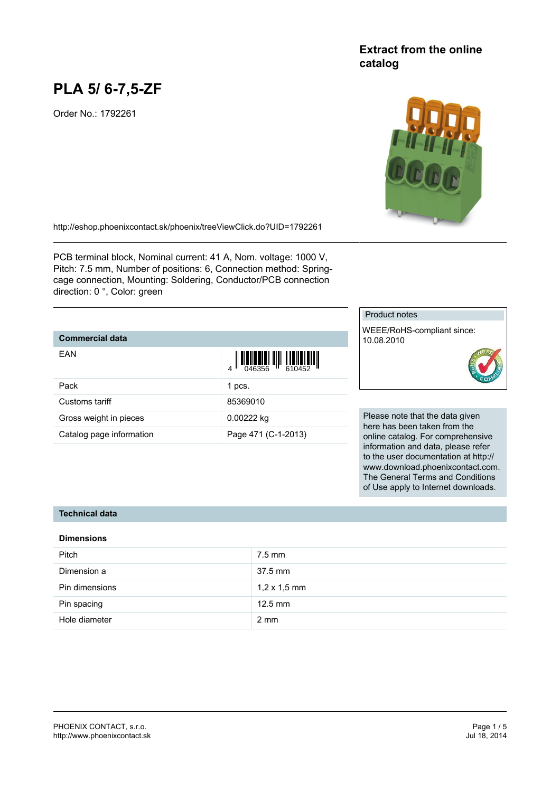# **PLA 5/ 6-7,5-ZF**

Order No.: 1792261

## **Extract from the online catalog**



<http://eshop.phoenixcontact.sk/phoenix/treeViewClick.do?UID=1792261>

PCB terminal block, Nominal current: 41 A, Nom. voltage: 1000 V, Pitch: 7.5 mm, Number of positions: 6, Connection method: Springcage connection, Mounting: Soldering, Conductor/PCB connection direction: 0 °, Color: green

#### **Commercial data**

| EAN                      | $\left\  \prod_{0.46356} \right\  \left\  \prod_{610452} \right\ $ |
|--------------------------|--------------------------------------------------------------------|
| Pack                     | 1 pcs.                                                             |
| Customs tariff           | 85369010                                                           |
| Gross weight in pieces   | 0.00222 kg                                                         |
| Catalog page information | Page 471 (C-1-2013)                                                |

### Product notes

WEEE/RoHS-compliant since: 10.08.2010



Please note that the data given here has been taken from the online catalog. For comprehensive information and data, please refer to the user documentation at http:// www.download.phoenixcontact.com. The General Terms and Conditions of Use apply to Internet downloads.

#### **Technical data**

#### **Dimensions**

| Pitch          | $7.5$ mm            |
|----------------|---------------------|
| Dimension a    | 37.5 mm             |
| Pin dimensions | $1,2 \times 1,5$ mm |
| Pin spacing    | $12.5$ mm           |
| Hole diameter  | $2 \text{ mm}$      |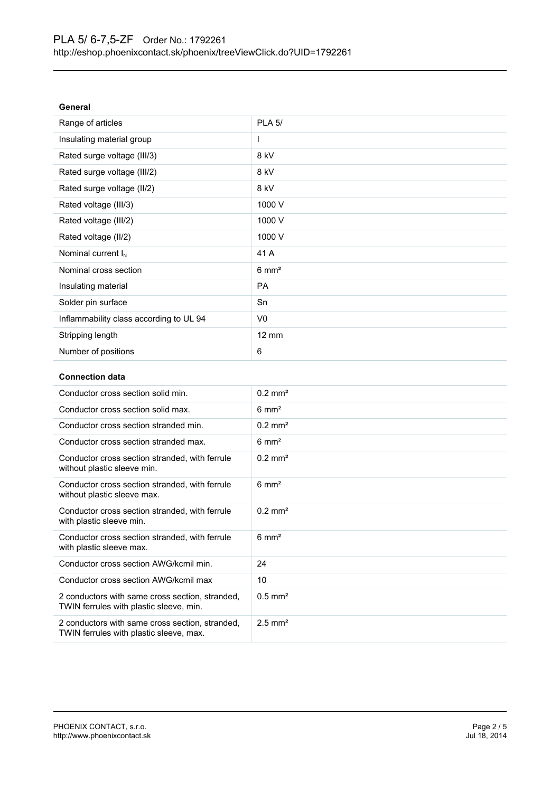| General                                 |                  |
|-----------------------------------------|------------------|
| Range of articles                       | <b>PLA 5/</b>    |
| Insulating material group               | ш                |
| Rated surge voltage (III/3)             | 8 kV             |
| Rated surge voltage (III/2)             | 8 kV             |
| Rated surge voltage (II/2)              | 8 kV             |
| Rated voltage (III/3)                   | 1000 V           |
| Rated voltage (III/2)                   | 1000 V           |
| Rated voltage (II/2)                    | 1000 V           |
| Nominal current $I_N$                   | 41 A             |
| Nominal cross section                   | $6 \text{ mm}^2$ |
| Insulating material                     | <b>PA</b>        |
| Solder pin surface                      | Sn               |
| Inflammability class according to UL 94 | V <sub>0</sub>   |
| Stripping length                        | 12 mm            |
| Number of positions                     | 6                |

### **Connection data**

| Conductor cross section solid min.                                                         | $0.2$ mm <sup>2</sup> |
|--------------------------------------------------------------------------------------------|-----------------------|
| Conductor cross section solid max.                                                         | $6 \text{ mm}^2$      |
| Conductor cross section stranded min.                                                      | $0.2 \text{ mm}^2$    |
| Conductor cross section stranded max.                                                      | $6 \text{ mm}^2$      |
| Conductor cross section stranded, with ferrule<br>without plastic sleeve min.              | $0.2$ mm <sup>2</sup> |
| Conductor cross section stranded, with ferrule<br>without plastic sleeve max.              | $6 \text{ mm}^2$      |
| Conductor cross section stranded, with ferrule<br>with plastic sleeve min.                 | $0.2$ mm <sup>2</sup> |
| Conductor cross section stranded, with ferrule<br>with plastic sleeve max.                 | $6 \text{ mm}^2$      |
| Conductor cross section AWG/kcmil min.                                                     | 24                    |
| Conductor cross section AWG/kcmil max                                                      | 10                    |
| 2 conductors with same cross section, stranded,<br>TWIN ferrules with plastic sleeve, min. | $0.5$ mm <sup>2</sup> |
| 2 conductors with same cross section, stranded,<br>TWIN ferrules with plastic sleeve, max. | $2.5$ mm <sup>2</sup> |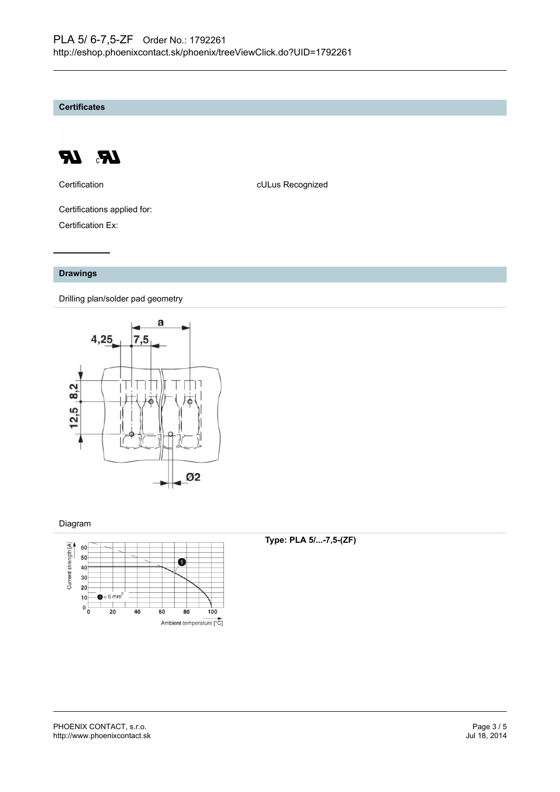**Certificates**



Certification **CERTIFICATE CULUS** Recognized

Certifications applied for: Certification Ex:

#### **Drawings**

Drilling plan/solder pad geometry



#### Diagram



#### **Type: PLA 5/...-7,5-(ZF)**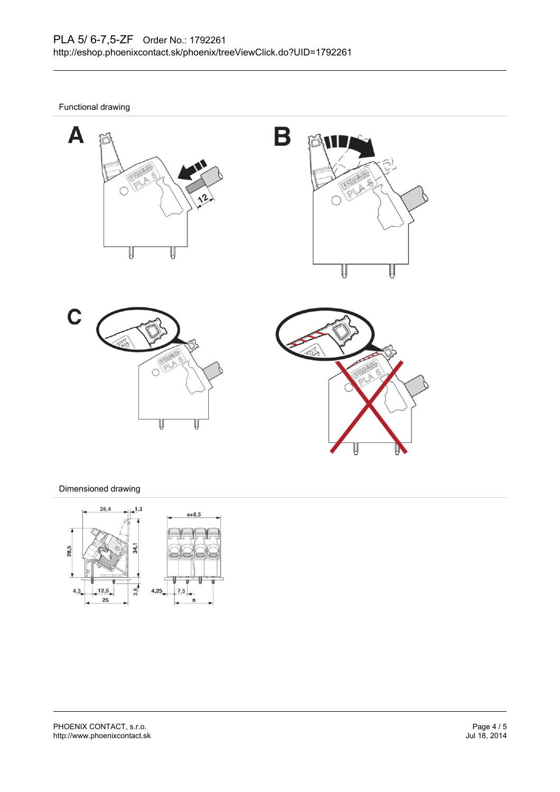Functional drawing









#### Dimensioned drawing